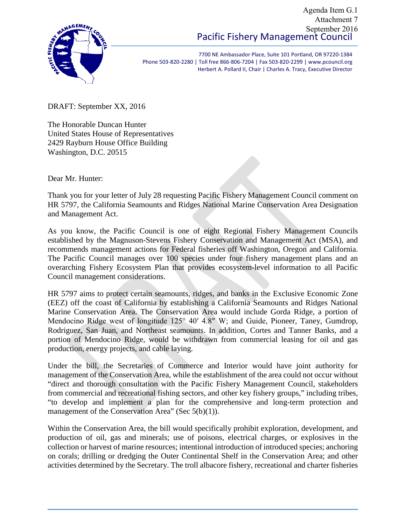## Pacific Fishery Management Council Agenda Item G.1 Attachment 7 September 2016



7700 NE Ambassador Place, Suite 101 Portland, OR 97220-1384 Phone 503-820-2280 | Toll free 866-806-7204 | Fax 503-820-2299 | www.pcouncil.org Herbert A. Pollard II, Chair | Charles A. Tracy, Executive Director

DRAFT: September XX, 2016

The Honorable Duncan Hunter United States House of Representatives 2429 Rayburn House Office Building Washington, D.C. 20515

Dear Mr. Hunter:

Thank you for your letter of July 28 requesting Pacific Fishery Management Council comment on HR 5797, the California Seamounts and Ridges National Marine Conservation Area Designation and Management Act.

As you know, the Pacific Council is one of eight Regional Fishery Management Councils established by the Magnuson-Stevens Fishery Conservation and Management Act (MSA), and recommends management actions for Federal fisheries off Washington, Oregon and California. The Pacific Council manages over 100 species under four fishery management plans and an overarching Fishery Ecosystem Plan that provides ecosystem-level information to all Pacific Council management considerations.

HR 5797 aims to protect certain seamounts, ridges, and banks in the Exclusive Economic Zone (EEZ) off the coast of California by establishing a California Seamounts and Ridges National Marine Conservation Area. The Conservation Area would include Gorda Ridge, a portion of Mendocino Ridge west of longitude 125° 40′ 4.8″ W; and Guide, Pioneer, Taney, Gumdrop, Rodriguez, San Juan, and Northeast seamounts. In addition, Cortes and Tanner Banks, and a portion of Mendocino Ridge, would be withdrawn from commercial leasing for oil and gas production, energy projects, and cable laying.

Under the bill, the Secretaries of Commerce and Interior would have joint authority for management of the Conservation Area, while the establishment of the area could not occur without "direct and thorough consultation with the Pacific Fishery Management Council, stakeholders from commercial and recreational fishing sectors, and other key fishery groups," including tribes, "to develop and implement a plan for the comprehensive and long-term protection and management of the Conservation Area" (Sec 5(b)(1)).

Within the Conservation Area, the bill would specifically prohibit exploration, development, and production of oil, gas and minerals; use of poisons, electrical charges, or explosives in the collection or harvest of marine resources; intentional introduction of introduced species; anchoring on corals; drilling or dredging the Outer Continental Shelf in the Conservation Area; and other activities determined by the Secretary. The troll albacore fishery, recreational and charter fisheries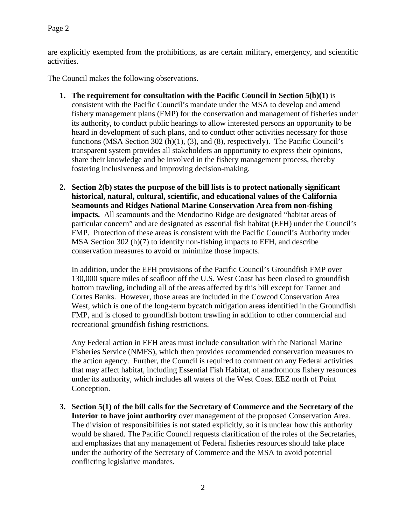are explicitly exempted from the prohibitions, as are certain military, emergency, and scientific activities.

The Council makes the following observations.

- **1. The requirement for consultation with the Pacific Council in Section 5(b)(1)** is consistent with the Pacific Council's mandate under the MSA to develop and amend fishery management plans (FMP) for the conservation and management of fisheries under its authority, to conduct public hearings to allow interested persons an opportunity to be heard in development of such plans, and to conduct other activities necessary for those functions (MSA Section 302 (h)(1), (3), and (8), respectively). The Pacific Council's transparent system provides all stakeholders an opportunity to express their opinions, share their knowledge and be involved in the fishery management process, thereby fostering inclusiveness and improving decision-making.
- **2. Section 2(b) states the purpose of the bill lists is to protect nationally significant historical, natural, cultural, scientific, and educational values of the California Seamounts and Ridges National Marine Conservation Area from non-fishing impacts.** All seamounts and the Mendocino Ridge are designated "habitat areas of particular concern" and are designated as essential fish habitat (EFH) under the Council's FMP. Protection of these areas is consistent with the Pacific Council's Authority under MSA Section 302 (h)(7) to identify non-fishing impacts to EFH, and describe conservation measures to avoid or minimize those impacts.

In addition, under the EFH provisions of the Pacific Council's Groundfish FMP over 130,000 square miles of seafloor off the U.S. West Coast has been closed to groundfish bottom trawling, including all of the areas affected by this bill except for Tanner and Cortes Banks. However, those areas are included in the Cowcod Conservation Area West, which is one of the long-term bycatch mitigation areas identified in the Groundfish FMP, and is closed to groundfish bottom trawling in addition to other commercial and recreational groundfish fishing restrictions.

Any Federal action in EFH areas must include consultation with the National Marine Fisheries Service (NMFS), which then provides recommended conservation measures to the action agency. Further, the Council is required to comment on any Federal activities that may affect habitat, including Essential Fish Habitat, of anadromous fishery resources under its authority, which includes all waters of the West Coast EEZ north of Point Conception.

**3. Section 5(1) of the bill calls for the Secretary of Commerce and the Secretary of the Interior to have joint authority** over management of the proposed Conservation Area. The division of responsibilities is not stated explicitly, so it is unclear how this authority would be shared. The Pacific Council requests clarification of the roles of the Secretaries, and emphasizes that any management of Federal fisheries resources should take place under the authority of the Secretary of Commerce and the MSA to avoid potential conflicting legislative mandates.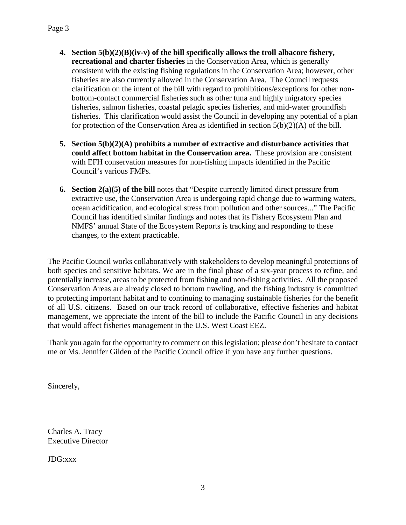- **4. Section 5(b)(2)(B)(iv-v) of the bill specifically allows the troll albacore fishery, recreational and charter fisheries** in the Conservation Area, which is generally consistent with the existing fishing regulations in the Conservation Area; however, other fisheries are also currently allowed in the Conservation Area. The Council requests clarification on the intent of the bill with regard to prohibitions/exceptions for other nonbottom-contact commercial fisheries such as other tuna and highly migratory species fisheries, salmon fisheries, coastal pelagic species fisheries, and mid-water groundfish fisheries. This clarification would assist the Council in developing any potential of a plan for protection of the Conservation Area as identified in section  $5(b)(2)(A)$  of the bill.
- **5. Section 5(b)(2)(A) prohibits a number of extractive and disturbance activities that could affect bottom habitat in the Conservation area.** These provision are consistent with EFH conservation measures for non-fishing impacts identified in the Pacific Council's various FMPs.
- **6. Section 2(a)(5) of the bill** notes that "Despite currently limited direct pressure from extractive use, the Conservation Area is undergoing rapid change due to warming waters, ocean acidification, and ecological stress from pollution and other sources..." The Pacific Council has identified similar findings and notes that its Fishery Ecosystem Plan and NMFS' annual State of the Ecosystem Reports is tracking and responding to these changes, to the extent practicable.

The Pacific Council works collaboratively with stakeholders to develop meaningful protections of both species and sensitive habitats. We are in the final phase of a six-year process to refine, and potentially increase, areas to be protected from fishing and non-fishing activities. All the proposed Conservation Areas are already closed to bottom trawling, and the fishing industry is committed to protecting important habitat and to continuing to managing sustainable fisheries for the benefit of all U.S. citizens. Based on our track record of collaborative, effective fisheries and habitat management, we appreciate the intent of the bill to include the Pacific Council in any decisions that would affect fisheries management in the U.S. West Coast EEZ.

Thank you again for the opportunity to comment on this legislation; please don't hesitate to contact me or Ms. Jennifer Gilden of the Pacific Council office if you have any further questions.

Sincerely,

Charles A. Tracy Executive Director

JDG:xxx